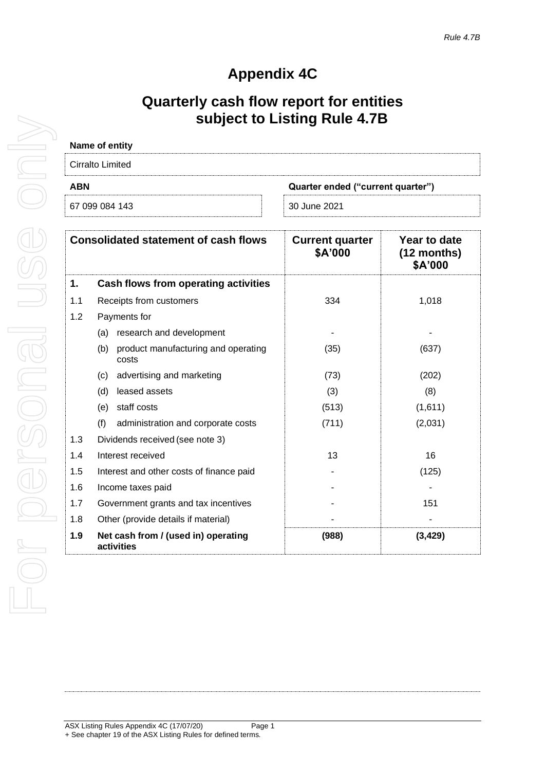# **Appendix 4C**

# **Quarterly cash flow report for entities subject to Listing Rule 4.7B**

| Name of entity                                  |              |  |
|-------------------------------------------------|--------------|--|
| Cirralto Limited                                |              |  |
| <b>ABN</b><br>Quarter ended ("current quarter") |              |  |
| 67 099 084 143                                  | 30 June 2021 |  |

| <b>Consolidated statement of cash flows</b> |                                                     | <b>Current quarter</b><br>\$A'000 | Year to date<br>$(12$ months)<br>\$A'000 |
|---------------------------------------------|-----------------------------------------------------|-----------------------------------|------------------------------------------|
| 1.                                          | Cash flows from operating activities                |                                   |                                          |
| 1.1                                         | Receipts from customers                             | 334                               | 1,018                                    |
| 1.2                                         | Payments for                                        |                                   |                                          |
|                                             | research and development<br>(a)                     |                                   |                                          |
|                                             | (b)<br>product manufacturing and operating<br>costs | (35)                              | (637)                                    |
|                                             | advertising and marketing<br>(c)                    | (73)                              | (202)                                    |
|                                             | leased assets<br>(d)                                | (3)                               | (8)                                      |
|                                             | staff costs<br>(e)                                  | (513)                             | (1,611)                                  |
|                                             | (f)<br>administration and corporate costs           | (711)                             | (2,031)                                  |
| 1.3                                         | Dividends received (see note 3)                     |                                   |                                          |
| 1.4                                         | Interest received                                   | 13                                | 16                                       |
| 1.5                                         | Interest and other costs of finance paid            |                                   | (125)                                    |
| 1.6                                         | Income taxes paid                                   |                                   |                                          |
| 1.7                                         | Government grants and tax incentives                |                                   | 151                                      |
| 1.8                                         | Other (provide details if material)                 |                                   |                                          |
| 1.9                                         | Net cash from / (used in) operating<br>activities   | (988)                             | (3, 429)                                 |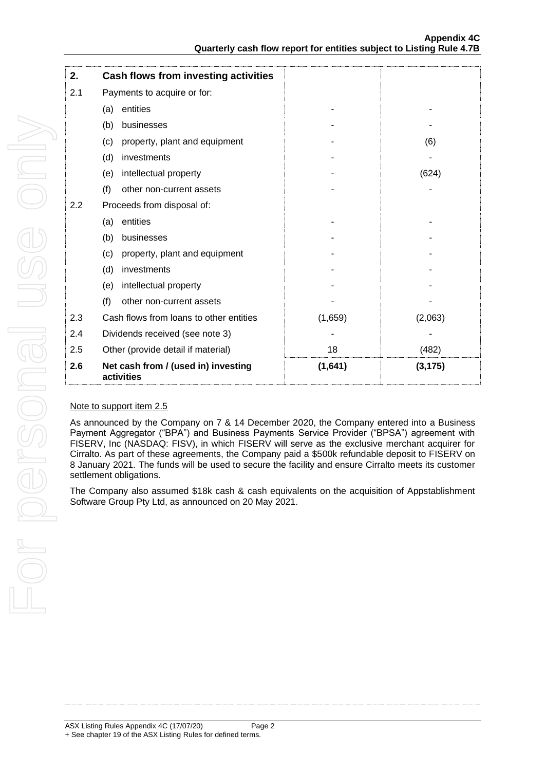| 2.  | Cash flows from investing activities              |         |          |
|-----|---------------------------------------------------|---------|----------|
| 2.1 | Payments to acquire or for:                       |         |          |
|     | entities<br>(a)                                   |         |          |
|     | (b)<br>businesses                                 |         |          |
|     | property, plant and equipment<br>(c)              |         | (6)      |
|     | (d)<br>investments                                |         |          |
|     | intellectual property<br>(e)                      |         | (624)    |
|     | (f)<br>other non-current assets                   |         |          |
| 2.2 | Proceeds from disposal of:                        |         |          |
|     | entities<br>(a)                                   |         |          |
|     | businesses<br>(b)                                 |         |          |
|     | property, plant and equipment<br>(c)              |         |          |
|     | (d)<br>investments                                |         |          |
|     | intellectual property<br>(e)                      |         |          |
|     | (f)<br>other non-current assets                   |         |          |
| 2.3 | Cash flows from loans to other entities           | (1,659) | (2,063)  |
| 2.4 | Dividends received (see note 3)                   |         |          |
| 2.5 | Other (provide detail if material)                | 18      | (482)    |
| 2.6 | Net cash from / (used in) investing<br>activities | (1,641) | (3, 175) |

### Note to support item 2.5

As announced by the Company on 7 & 14 December 2020, the Company entered into a Business Payment Aggregator ("BPA") and Business Payments Service Provider ("BPSA") agreement with FISERV, Inc (NASDAQ: FISV), in which FISERV will serve as the exclusive merchant acquirer for Cirralto. As part of these agreements, the Company paid a \$500k refundable deposit to FISERV on 8 January 2021. The funds will be used to secure the facility and ensure Cirralto meets its customer settlement obligations.

The Company also assumed \$18k cash & cash equivalents on the acquisition of Appstablishment Software Group Pty Ltd, as announced on 20 May 2021.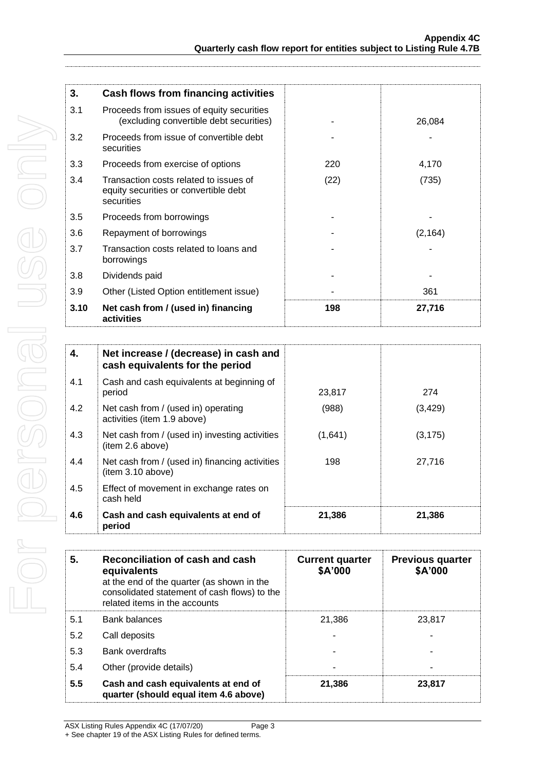| 3.   | <b>Cash flows from financing activities</b>                                                   |      |          |
|------|-----------------------------------------------------------------------------------------------|------|----------|
| 3.1  | Proceeds from issues of equity securities<br>(excluding convertible debt securities)          |      | 26,084   |
| 3.2  | Proceeds from issue of convertible debt<br>securities                                         |      |          |
| 3.3  | Proceeds from exercise of options                                                             | 220  | 4,170    |
| 3.4  | Transaction costs related to issues of<br>equity securities or convertible debt<br>securities | (22) | (735)    |
| 3.5  | Proceeds from borrowings                                                                      |      |          |
| 3.6  | Repayment of borrowings                                                                       |      | (2, 164) |
| 3.7  | Transaction costs related to loans and<br>borrowings                                          |      |          |
| 3.8  | Dividends paid                                                                                |      |          |
| 3.9  | Other (Listed Option entitlement issue)                                                       |      | 361      |
| 3.10 | Net cash from / (used in) financing<br>activities                                             | 198  | 27,716   |

| 4.  | Net increase / (decrease) in cash and<br>cash equivalents for the period |         |          |
|-----|--------------------------------------------------------------------------|---------|----------|
| 4.1 | Cash and cash equivalents at beginning of<br>period                      | 23,817  | 274      |
| 4.2 | Net cash from / (used in) operating<br>activities (item 1.9 above)       | (988)   | (3, 429) |
| 4.3 | Net cash from / (used in) investing activities<br>(item 2.6 above)       | (1,641) | (3, 175) |
| 4.4 | Net cash from / (used in) financing activities<br>(item 3.10 above)      | 198     | 27,716   |
| 4.5 | Effect of movement in exchange rates on<br>cash held                     |         |          |
| 4.6 | Cash and cash equivalents at end of<br>period                            | 21,386  | 21,386   |

| Reconciliation of cash and cash<br>5.<br>equivalents<br>at the end of the quarter (as shown in the<br>consolidated statement of cash flows) to the<br>related items in the accounts |                                                                              | <b>Current quarter</b><br>\$A'000 | <b>Previous quarter</b><br>\$A'000 |  |
|-------------------------------------------------------------------------------------------------------------------------------------------------------------------------------------|------------------------------------------------------------------------------|-----------------------------------|------------------------------------|--|
| 5.1                                                                                                                                                                                 | <b>Bank balances</b>                                                         | 21.386                            | 23.817                             |  |
| 5.2                                                                                                                                                                                 | Call deposits                                                                |                                   |                                    |  |
| 5.3                                                                                                                                                                                 | <b>Bank overdrafts</b>                                                       |                                   |                                    |  |
| 5.4                                                                                                                                                                                 | Other (provide details)                                                      |                                   |                                    |  |
| 5.5                                                                                                                                                                                 | Cash and cash equivalents at end of<br>quarter (should equal item 4.6 above) | 21,386                            | 23,817                             |  |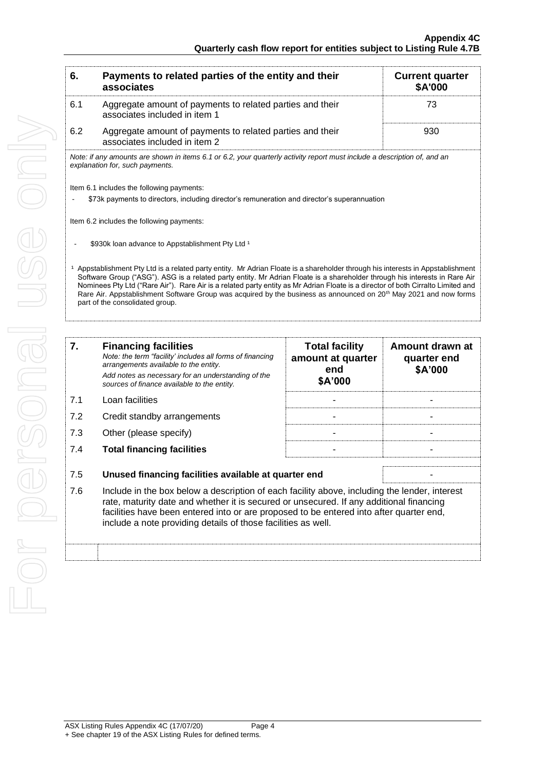| 6.  | Payments to related parties of the entity and their<br>associates                                                                                                                                                                                                                                                                                                                                                                                                                                                                                                   | <b>Current quarter</b><br>\$A'000                            |                                           |
|-----|---------------------------------------------------------------------------------------------------------------------------------------------------------------------------------------------------------------------------------------------------------------------------------------------------------------------------------------------------------------------------------------------------------------------------------------------------------------------------------------------------------------------------------------------------------------------|--------------------------------------------------------------|-------------------------------------------|
| 6.1 | Aggregate amount of payments to related parties and their<br>associates included in item 1                                                                                                                                                                                                                                                                                                                                                                                                                                                                          |                                                              | 73                                        |
| 6.2 | Aggregate amount of payments to related parties and their<br>associates included in item 2                                                                                                                                                                                                                                                                                                                                                                                                                                                                          |                                                              | 930                                       |
|     | Note: if any amounts are shown in items 6.1 or 6.2, your quarterly activity report must include a description of, and an<br>explanation for, such payments.                                                                                                                                                                                                                                                                                                                                                                                                         |                                                              |                                           |
|     | Item 6.1 includes the following payments:<br>\$73k payments to directors, including director's remuneration and director's superannuation                                                                                                                                                                                                                                                                                                                                                                                                                           |                                                              |                                           |
|     | Item 6.2 includes the following payments:                                                                                                                                                                                                                                                                                                                                                                                                                                                                                                                           |                                                              |                                           |
|     | \$930k loan advance to Appstablishment Pty Ltd <sup>1</sup>                                                                                                                                                                                                                                                                                                                                                                                                                                                                                                         |                                                              |                                           |
|     | Appstablishment Pty Ltd is a related party entity. Mr Adrian Floate is a shareholder through his interests in Appstablishment<br>Software Group ("ASG"). ASG is a related party entity. Mr Adrian Floate is a shareholder through his interests in Rare Air<br>Nominees Pty Ltd ("Rare Air"). Rare Air is a related party entity as Mr Adrian Floate is a director of both Cirralto Limited and<br>Rare Air. Appstablishment Software Group was acquired by the business as announced on 20 <sup>th</sup> May 2021 and now forms<br>part of the consolidated group. |                                                              |                                           |
|     |                                                                                                                                                                                                                                                                                                                                                                                                                                                                                                                                                                     |                                                              |                                           |
| 7.  | <b>Financing facilities</b><br>Note: the term "facility' includes all forms of financing<br>arrangements available to the entity.<br>Add notes as necessary for an understanding of the                                                                                                                                                                                                                                                                                                                                                                             | <b>Total facility</b><br>amount at quarter<br>end<br>E AJNAN | Amount drawn at<br>quarter end<br>\$A'000 |

|     | Add notes as necessary for an understanding of the<br>sources of finance available to the entity.                                                                                                                                                                                                                                                    | end<br>\$A'000 | <b>SA'000</b> |
|-----|------------------------------------------------------------------------------------------------------------------------------------------------------------------------------------------------------------------------------------------------------------------------------------------------------------------------------------------------------|----------------|---------------|
| 7.1 | Loan facilities                                                                                                                                                                                                                                                                                                                                      |                |               |
| 7.2 | Credit standby arrangements                                                                                                                                                                                                                                                                                                                          |                |               |
| 7.3 | Other (please specify)                                                                                                                                                                                                                                                                                                                               |                |               |
| 7.4 | <b>Total financing facilities</b>                                                                                                                                                                                                                                                                                                                    |                |               |
| 7.5 | Unused financing facilities available at quarter end                                                                                                                                                                                                                                                                                                 |                |               |
| 7.6 | Include in the box below a description of each facility above, including the lender, interest<br>rate, maturity date and whether it is secured or unsecured. If any additional financing<br>facilities have been entered into or are proposed to be entered into after quarter end,<br>include a note providing details of those facilities as well. |                |               |
|     |                                                                                                                                                                                                                                                                                                                                                      |                |               |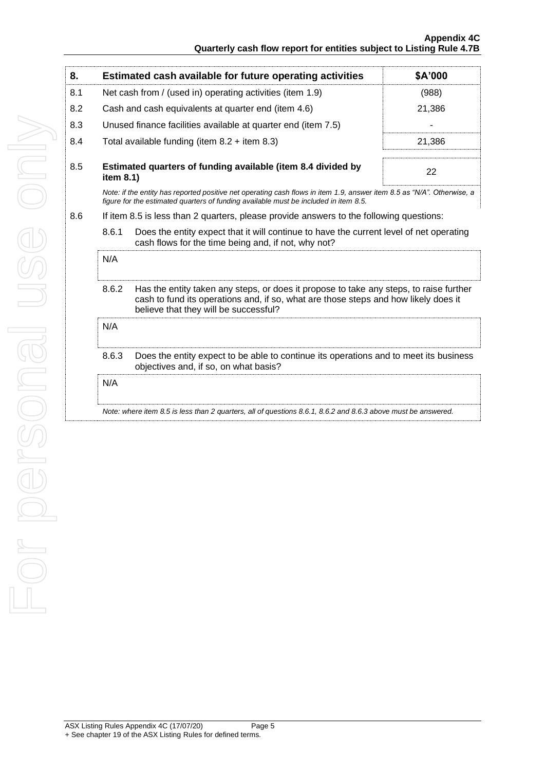| 8.  |                                                                                                                                                                                                                                 | Estimated cash available for future operating activities                                                                                                                                                       | \$A'000 |  |
|-----|---------------------------------------------------------------------------------------------------------------------------------------------------------------------------------------------------------------------------------|----------------------------------------------------------------------------------------------------------------------------------------------------------------------------------------------------------------|---------|--|
| 8.1 | Net cash from / (used in) operating activities (item 1.9)                                                                                                                                                                       |                                                                                                                                                                                                                | (988)   |  |
| 8.2 |                                                                                                                                                                                                                                 | Cash and cash equivalents at quarter end (item 4.6)                                                                                                                                                            | 21,386  |  |
| 8.3 |                                                                                                                                                                                                                                 | Unused finance facilities available at quarter end (item 7.5)                                                                                                                                                  |         |  |
| 8.4 |                                                                                                                                                                                                                                 | Total available funding (item $8.2 +$ item $8.3$ )                                                                                                                                                             | 21,386  |  |
| 8.5 | Estimated quarters of funding available (item 8.4 divided by<br>item 8.1)                                                                                                                                                       |                                                                                                                                                                                                                | 22      |  |
|     |                                                                                                                                                                                                                                 | Note: if the entity has reported positive net operating cash flows in item 1.9, answer item 8.5 as "N/A". Otherwise, a<br>figure for the estimated quarters of funding available must be included in item 8.5. |         |  |
| 8.6 |                                                                                                                                                                                                                                 | If item 8.5 is less than 2 quarters, please provide answers to the following questions:                                                                                                                        |         |  |
|     | 8.6.1<br>Does the entity expect that it will continue to have the current level of net operating<br>cash flows for the time being and, if not, why not?                                                                         |                                                                                                                                                                                                                |         |  |
|     | N/A                                                                                                                                                                                                                             |                                                                                                                                                                                                                |         |  |
|     | 8.6.2<br>Has the entity taken any steps, or does it propose to take any steps, to raise further<br>cash to fund its operations and, if so, what are those steps and how likely does it<br>believe that they will be successful? |                                                                                                                                                                                                                |         |  |
|     | N/A                                                                                                                                                                                                                             |                                                                                                                                                                                                                |         |  |
|     | 8.6.3<br>Does the entity expect to be able to continue its operations and to meet its business<br>objectives and, if so, on what basis?                                                                                         |                                                                                                                                                                                                                |         |  |
|     | N/A                                                                                                                                                                                                                             |                                                                                                                                                                                                                |         |  |
|     |                                                                                                                                                                                                                                 | Note: where item 8.5 is less than 2 quarters, all of questions 8.6.1, 8.6.2 and 8.6.3 above must be answered.                                                                                                  |         |  |